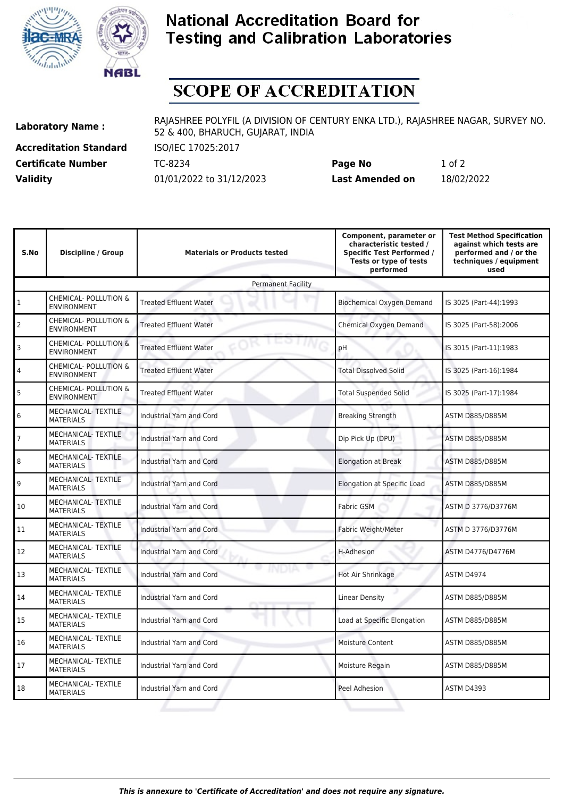



## **National Accreditation Board for Testing and Calibration Laboratories**

## **SCOPE OF ACCREDITATION**

**Accreditation Standard** ISO/IEC 17025:2017

**Laboratory Name :** RAJASHREE POLYFIL (A DIVISION OF CENTURY ENKA LTD.), RAJASHREE NAGAR, SURVEY NO. 52 & 400, BHARUCH, GUJARAT, INDIA

**Certificate Number** TC-8234 **Page No** 1 of 2 **Validity** 01/01/2022 to 31/12/2023 **Last Amended on** 18/02/2022

| S.No                      | <b>Discipline / Group</b>                              | <b>Materials or Products tested</b> | Component, parameter or<br>characteristic tested /<br><b>Specific Test Performed /</b><br>Tests or type of tests<br>performed | <b>Test Method Specification</b><br>against which tests are<br>performed and / or the<br>techniques / equipment<br>used |  |  |  |
|---------------------------|--------------------------------------------------------|-------------------------------------|-------------------------------------------------------------------------------------------------------------------------------|-------------------------------------------------------------------------------------------------------------------------|--|--|--|
| <b>Permanent Facility</b> |                                                        |                                     |                                                                                                                               |                                                                                                                         |  |  |  |
| 1                         | CHEMICAL- POLLUTION &<br><b>ENVIRONMENT</b>            | <b>Treated Effluent Water</b>       | Biochemical Oxygen Demand                                                                                                     | IS 3025 (Part-44):1993                                                                                                  |  |  |  |
| 2                         | CHEMICAL- POLLUTION &<br><b>ENVIRONMENT</b>            | <b>Treated Effluent Water</b>       | Chemical Oxygen Demand                                                                                                        | IS 3025 (Part-58):2006                                                                                                  |  |  |  |
| 3                         | CHEMICAL- POLLUTION &<br><b>ENVIRONMENT</b>            | <b>Treated Effluent Water</b>       | pH                                                                                                                            | IS 3015 (Part-11):1983                                                                                                  |  |  |  |
| $\overline{4}$            | CHEMICAL- POLLUTION &<br><b>ENVIRONMENT</b>            | <b>Treated Effluent Water</b>       | <b>Total Dissolved Solid</b>                                                                                                  | IS 3025 (Part-16):1984                                                                                                  |  |  |  |
| 5                         | <b>CHEMICAL- POLLUTION &amp;</b><br><b>ENVIRONMENT</b> | <b>Treated Effluent Water</b>       | <b>Total Suspended Solid</b>                                                                                                  | IS 3025 (Part-17):1984                                                                                                  |  |  |  |
| 6                         | MECHANICAL-TEXTILE<br><b>MATERIALS</b>                 | <b>Industrial Yarn and Cord</b>     | <b>Breaking Strength</b>                                                                                                      | ASTM D885/D885M                                                                                                         |  |  |  |
| $\overline{7}$            | <b>MECHANICAL-TEXTILE</b><br><b>MATERIALS</b>          | Industrial Yarn and Cord            | Dip Pick Up (DPU)                                                                                                             | <b>ASTM D885/D885M</b>                                                                                                  |  |  |  |
| 8                         | MECHANICAL- TEXTILE<br><b>MATERIALS</b>                | Industrial Yarn and Cord            | <b>Elongation at Break</b>                                                                                                    | <b>ASTM D885/D885M</b>                                                                                                  |  |  |  |
| 9                         | <b>MECHANICAL- TEXTILE</b><br><b>MATERIALS</b>         | <b>Industrial Yarn and Cord</b>     | Elongation at Specific Load                                                                                                   | ASTM D885/D885M                                                                                                         |  |  |  |
| 10                        | <b>MECHANICAL- TEXTILE</b><br><b>MATERIALS</b>         | Industrial Yarn and Cord            | <b>Fabric GSM</b>                                                                                                             | ASTM D 3776/D3776M                                                                                                      |  |  |  |
| 11                        | MECHANICAL- TEXTILE<br><b>MATERIALS</b>                | <b>Industrial Yarn and Cord</b>     | Fabric Weight/Meter                                                                                                           | ASTM D 3776/D3776M                                                                                                      |  |  |  |
| 12                        | MECHANICAL-TEXTILE<br><b>MATERIALS</b>                 | Industrial Yarn and Cord            | H-Adhesion                                                                                                                    | ASTM D4776/D4776M                                                                                                       |  |  |  |
| 13                        | <b>MECHANICAL-TEXTILE</b><br><b>MATERIALS</b>          | Industrial Yarn and Cord            | Hot Air Shrinkage                                                                                                             | <b>ASTM D4974</b>                                                                                                       |  |  |  |
| 14                        | <b>MECHANICAL- TEXTILE</b><br><b>MATERIALS</b>         | Industrial Yarn and Cord            | <b>Linear Density</b>                                                                                                         | ASTM D885/D885M                                                                                                         |  |  |  |
| 15                        | MECHANICAL- TEXTILE<br><b>MATERIALS</b>                | <b>Industrial Yarn and Cord</b>     | Load at Specific Elongation                                                                                                   | ASTM D885/D885M                                                                                                         |  |  |  |
| 16                        | MECHANICAL- TEXTILE<br><b>MATERIALS</b>                | Industrial Yarn and Cord            | <b>Moisture Content</b>                                                                                                       | ASTM D885/D885M                                                                                                         |  |  |  |
| 17                        | MECHANICAL- TEXTILE<br><b>MATERIALS</b>                | Industrial Yarn and Cord            | Moisture Regain                                                                                                               | <b>ASTM D885/D885M</b>                                                                                                  |  |  |  |
| 18                        | <b>MECHANICAL-TEXTILE</b><br><b>MATERIALS</b>          | Industrial Yarn and Cord            | Peel Adhesion                                                                                                                 | ASTM D4393                                                                                                              |  |  |  |